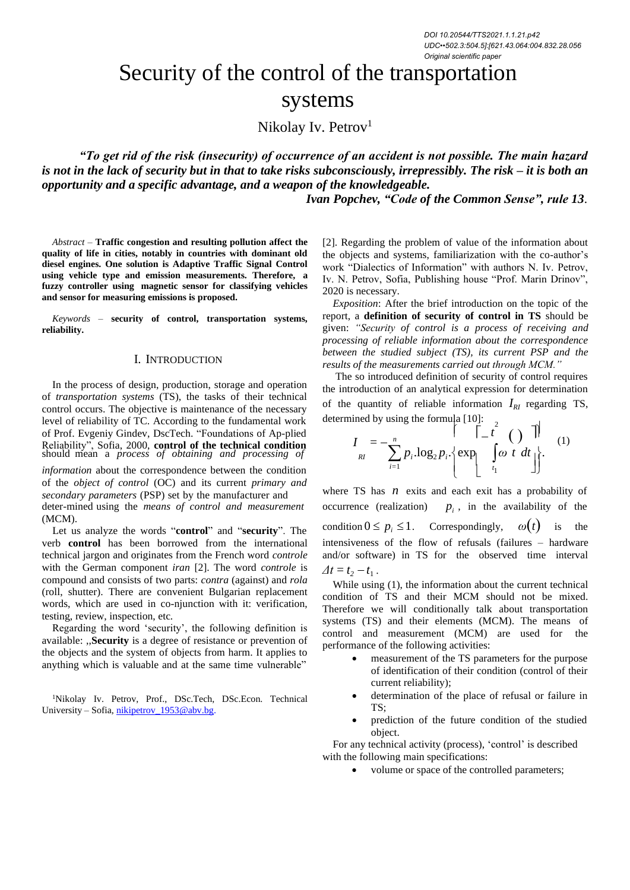# Security of the control of the transportation systems

Nikolay Iv. Petrov<sup>1</sup>

*"To get rid of the risk (insecurity) of occurrence of an accident is not possible. The main hazard is not in the lack of security but in that to take risks subconsciously, irrepressibly. The risk – it is both an opportunity and a specific advantage, and a weapon of the knowledgeable.*

*Ivan Popchev, "Code of the Common Sense", rule 13*.

*Abstract –* **Traffic congestion and resulting pollution affect the quality of life in cities, notably in countries with dominant old diesel engines. One solution is Adaptive Traffic Signal Control using vehicle type and emission measurements. Therefore, a fuzzy controller using magnetic sensor for classifying vehicles and sensor for measuring emissions is proposed.**

*Keywords –* **security of control, transportation systems, reliability.**

## I. INTRODUCTION

In the process of design, production, storage and operation of *transportation systems* (TS), the tasks of their technical control occurs. The objective is maintenance of the necessary level of reliability of TC. According to the fundamental work of Prof. Evgeniy Gindev, DscTech. "Foundations of Ap-plied Reliability", Sofia, 2000, **control of the technical condition**  $I = -\frac{B}{R} p_i$ <br>should mean a *process of obtaining and processing of*  $I = \sum_{R} p_i$ 

*information* about the correspondence between the condition of the *object of control* (OC) and its current *primary and*

deter-mined using the *means of control and measurement* (MCM).

verb **control** has been borrowed from the international technical jargon and originates from the French word *controle* with the German component *iran* [2]. The word *controle* is compound and consists of two parts: *contra* (against) and *rola* (roll, shutter). There are convenient Bulgarian replacement words, which are used in co-njunction with it: verification, testing, review, inspection, etc.

Regarding the word 'security', the following definition is available: ,,**Security** is a degree of resistance or prevention of the objects and the system of objects from harm. It applies to anything which is valuable and at the same time vulnerable"

<sup>1</sup>Nikolay Iv. Petrov, Prof., DSc.Tech, DSc.Econ. Technical University – Sofia, [nikipetrov\\_1953@abv.bg.](mailto:nikipetrov_1953@abv.bg)

[2]. Regarding the problem of value of the information about the objects and systems, familiarization with the co-author's work "Dialectics of Information" with authors N. Iv. Petrov, Iv. N. Petrov, Sofia, Publishing house "Prof. Marin Drinov", 2020 is necessary.

*Exposition*: After the brief introduction on the topic of the report, a **definition of security of control in TS** should be given: *"Security of control is a process of receiving and processing of reliable information about the correspondence between the studied subject (TS), its current PSP and the results of the measurements carried out through MCM."*

The so introduced definition of security of control requires the introduction of an analytical expression for determination of the quantity of reliable information  $I_{RI}$  regarding TS, determined by using the formula  $[10]$ :

$$
I_{RI} = -\sum_{i=1}^{n} p_i \log_2 p_i \cdot \left\{ \exp\left[\int_{t_1}^{\infty} \omega t \ dt \right] \right\}.
$$
 (1)

*secondary parameters* (PSP) set by the manufacturer and where TS has *n* exits and each exit has a probability of deter-mined using the *means of control and measurement* occurrence (realization)  $p_i$ , in the availabilit  $p_i$ , in the availability of the Let us analyze the words "**control**" and "**security**". The condition  $0 \le p_i \le 1$ . Correspondingly,  $\omega(t)$  is the intensiveness of the flow of refusals (failures – hardware and/or software) in TS for the observed time interval  $\Delta t = t_2 - t_1$ .

While using (1), the information about the current technical condition of TS and their MCM should not be mixed. Therefore we will conditionally talk about transportation systems (TS) and their elements (MCM). The means of control and measurement (MCM) are used for the performance of the following activities:

- measurement of the TS parameters for the purpose of identification of their condition (control of their current reliability);
- determination of the place of refusal or failure in TS;
- prediction of the future condition of the studied object.

For any technical activity (process), 'control' is described with the following main specifications:

• volume or space of the controlled parameters;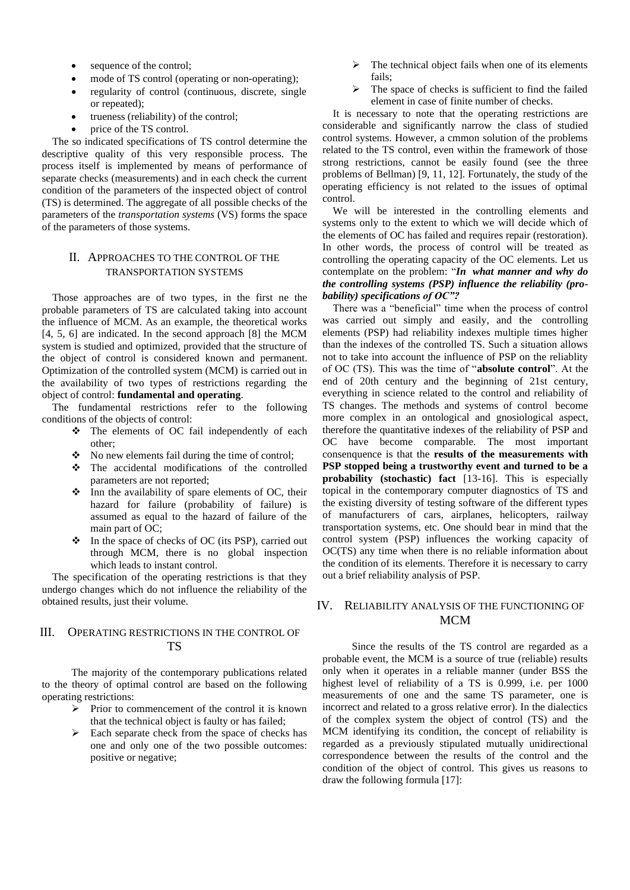- sequence of the control;
- mode of TS control (operating or non-operating);
- regularity of control (continuous, discrete, single or repeated);
- trueness (reliability) of the control;
- price of the TS control.

The so indicated specifications of TS control determine the descriptive quality of this very responsible process. The process itself is implemented by means of performance of separate checks (measurements) and in each check the current condition of the parameters of the inspected object of control (TS) is determined. The aggregate of all possible checks of the parameters of the *transportation systems* (VS) forms the space of the parameters of those systems.

## II. APPROACHES TO THE CONTROL OF THE TRANSPORTATION SYSTEMS

Those approaches are of two types, in the first ne the probable parameters of TS are calculated taking into account the influence of MCM. As an example, the theoretical works [4, 5, 6] are indicated. In the second approach [8] the MCM system is studied and optimized, provided that the structure of the object of control is considered known and permanent. Optimization of the controlled system (MCM) is carried out in the availability of two types of restrictions regarding the object of control: **fundamental and operating**.

The fundamental restrictions refer to the following conditions of the objects of control:

- ❖ The elements of OC fail independently of each other;
- ❖ No new elements fail during the time of control;
- ❖ The accidental modifications of the controlled parameters are not reported;
- ❖ Inn the availability of spare elements of OC, their hazard for failure (probability of failure) is assumed as equal to the hazard of failure of the main part of OC:
- ❖ In the space of checks of OC (its PSP), carried out through MCM, there is no global inspection which leads to instant control.

The specification of the operating restrictions is that they undergo changes which do not influence the reliability of the obtained results, just their volume.

## III. OPERATING RESTRICTIONS IN THE CONTROL OF TS

The majority of the contemporary publications related to the theory of optimal control are based on the following operating restrictions:

- ➢ Prior to commencement of the control it is known that the technical object is faulty or has failed;
- ➢ Each separate check from the space of checks has one and only one of the two possible outcomes: positive or negative;
- The technical object fails when one of its elements fails;
- The space of checks is sufficient to find the failed element in case of finite number of checks.

It is necessary to note that the operating restrictions are considerable and significantly narrow the class of studied control systems. However, a cmmon solution of the problems related to the TS control, even within the framework of those strong restrictions, cannot be easily found (see the three problems of Bellman) [9, 11, 12]. Fortunately, the study of the operating efficiency is not related to the issues of optimal control.

We will be interested in the controlling elements and systems only to the extent to which we will decide which of the elements of OC has failed and requires repair (restoration). In other words, the process of control will be treated as controlling the operating capacity of the OC elements. Let us contemplate on the problem: "*In what manner and why do the controlling systems (PSP) influence the reliability (probability) specifications of OC"?*

There was a "beneficial" time when the process of control was carried out simply and easily, and the controlling elements (PSP) had reliability indexes multiple times higher than the indexes of the controlled TS. Such a situation allows not to take into account the influence of PSP on the reliablity of OC (TS). This was the time of "**absolute control**". At the end of 20th century and the beginning of 21st century, everything in science related to the control and reliability of TS changes. The methods and systems of control become more complex in an ontological and gnosiological aspect, therefore the quantitative indexes of the reliability of PSP and OC have become comparable. The most important consenquence is that the **results of the measurements with PSP stopped being a trustworthy event and turned to be a probability (stochastic) fact** [13-16]. This is especially topical in the contemporary computer diagnostics of TS and the existing diversity of testing software of the different types of manufacturers of cars, airplanes, helicopters, railway transportation systems, etc. One should bear in mind that the control system (PSP) influences the working capacity of OC(TS) any time when there is no reliable information about the condition of its elements. Therefore it is necessary to carry out a brief reliability analysis of PSP.

# IV. RELIABILITY ANALYSIS OF THE FUNCTIONING OF MCM

Since the results of the TS control are regarded as a probable event, the MCM is a source of true (reliable) results only when it operates in a reliable manner (under BSS the highest level of reliability of a TS is 0.999, i.e. per 1000 measurements of one and the same TS parameter, one is incorrect and related to a gross relative error). In the dialectics of the complex system the object of control (TS) and the MCM identifying its condition, the concept of reliability is regarded as a previously stipulated mutually unidirectional correspondence between the results of the control and the condition of the object of control. This gives us reasons to draw the following formula [17]: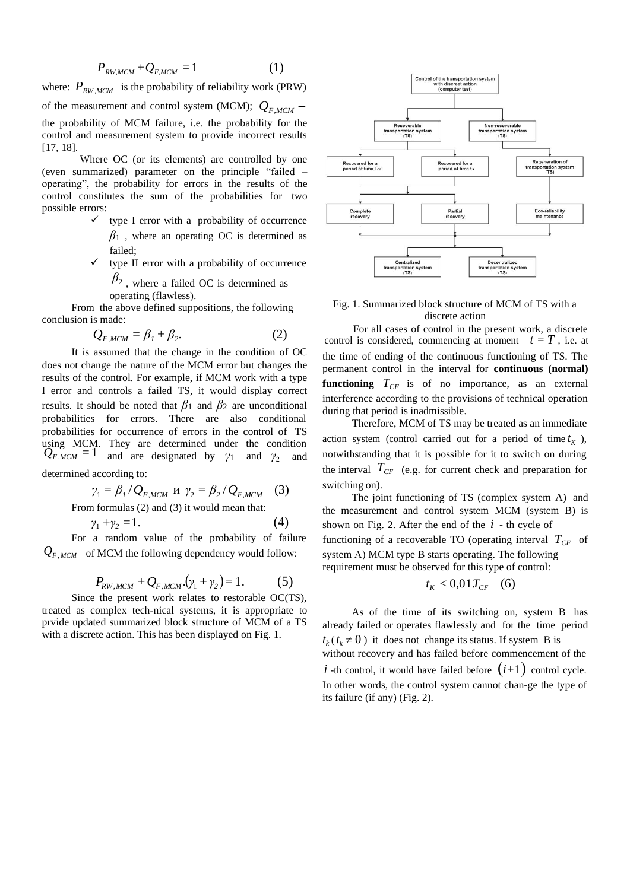$$
P_{RW,MCM} + Q_{F,MCM} = 1 \tag{1}
$$

where:  $P_{RW_MCM}$  is the probability of reliability work (PRW) of the measurement and control system (MCM);  $Q_{F,MCM}$  – the probability of MCM failure, i.e. the probability for the control and measurement system to provide incorrect results [17, 18].

Where OC (or its elements) are controlled by one (even summarized) parameter on the principle "failed – operating", the probability for errors in the results of the control constitutes the sum of the probabilities for two possible errors:

- type I error with a probability of occurrence  $\beta_1$ , where an operating OC is determined as failed;
- $\checkmark$  type II error with a probability of occurrence  $\beta_2$ , where a failed OC is determined as

operating (flawless).

From the above defined suppositions, the following conclusion is made:

$$
Q_{F,MCM} = \beta_1 + \beta_2. \tag{2}
$$

It is assumed that the change in the condition of OC does not change the nature of the MCM error but changes the results of the control. For example, if MCM work with a type I error and controls a failed TS, it would display correct results. It should be noted that  $\beta_1$  and  $\beta_2$  are unconditional probabilities for errors. There are also conditional probabilities for occurrence of errors in the control of TS using MCM. They are determined under the condition  $Q_{F,MCM} = 1$  and are designated by *γ*<sub>1</sub> and *γ*<sub>2</sub> and notwithstanding that it is possible for it to switch on during

$$
\gamma_1 = \beta_1 / Q_{F,MCM} \text{ H } \gamma_2 = \beta_2 / Q_{F,MCM} \quad (3)
$$
  
From formulas (2) and (3) it would mean that:

$$
\gamma_1 + \gamma_2 = 1. \tag{4}
$$

 $Q_{F,MCM}$  of MCM the following dependency would follow: system A) MCM type B starts operating. The following

$$
P_{RW,MCM} + Q_{F,MCM} \cdot (\gamma_1 + \gamma_2) = 1. \tag{5}
$$

Since the present work relates to restorable OC(TS), treated as complex tech-nical systems, it is appropriate to prvide updated summarized block structure of MCM of a TS with a discrete action. This has been displayed on Fig. 1.



Fig. 1. Summarized block structure of MCM of TS with a discrete action

 $(2)$  For all cases of control in the present work, a discrete<br>control is considered, commencing at moment  $t = T$ , i.e. at the time of ending of the continuous functioning of TS. The permanent control in the interval for **continuous (normal) functioning**  $T_{CF}$  is of no importance, as an external interference according to the provisions of technical operation during that period is inadmissible.

Therefore, MCM of TS may be treated as an immediate action system (control carried out for a period of time  $t_K$ ), determined according to: the interval  $T_{CF}$  (e.g. for current check and preparation for switching on).

The joint functioning of TS (complex system A) and the measurement and control system MCM (system B) is shown on Fig. 2. After the end of the  $i$  - th cycle of For a random value of the probability of failure functioning of a recoverable TO (operating interval  $T_{CF}$  of requirement must be observed for this type of control:

$$
t_K < 0.01 T_{CF} \quad (6)
$$

As of the time of its switching on, system B has already failed or operates flawlessly and for the time period  $t_k$  ( $t_k \neq 0$ ) it does not change its status. If system B is without recovery and has failed before commencement of the *i* -th control, it would have failed before  $(i+1)$  control cycle. In other words, the control system cannot chan-ge the type of its failure (if any) (Fig. 2).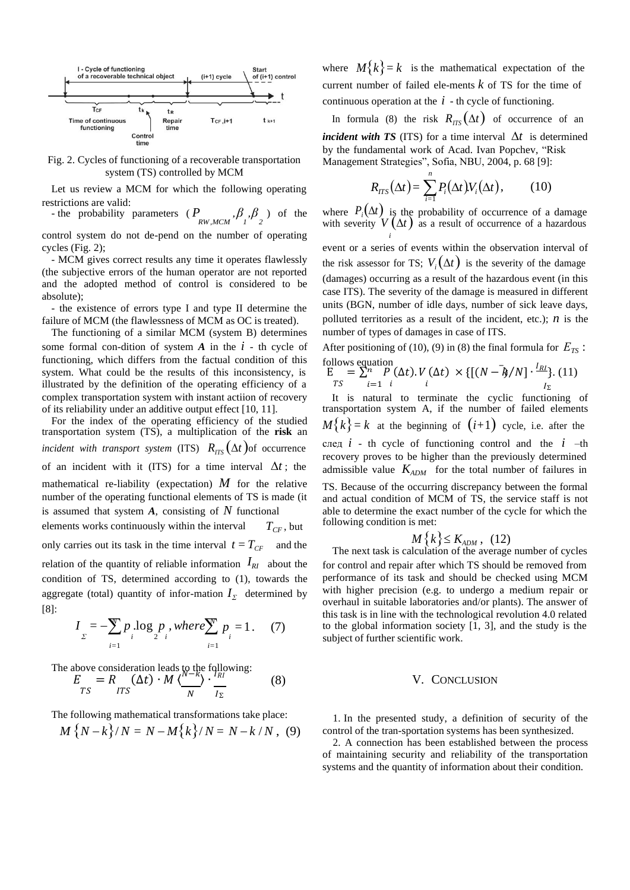

Fig. 2. Cycles of functioning of a recoverable transportation system (TS) controlled by MCM

Let us review a MCM for which the following operating restrictions are valid:

- the probability parameters ( $P_{RW,MCM}$ , $\beta_1$ , $\beta_2$ ) of the

control system do not de-pend on the number of operating cycles (Fig. 2);

- MCM gives correct results any time it operates flawlessly (the subjective errors of the human operator are not reported and the adopted method of control is considered to be absolute);

- the existence of errors type I and type II determine the failure of MCM (the flawlessness of MCM as OC is treated).

The functioning of a similar MCM (system B) determines some formal con-dition of system *A* in the *i* - th cycle of functioning, which differs from the factual condition of this system. What could be the results of this inconsistency, is illustrated by the definition of the operating efficiency of a complex transportation system with instant actiion of recovery of its reliability under an additive output effect [10, 11].

For the index of the operating efficiency of the studied transportation system (TS), a multiplication of the **risk** an *incident with transport system* (ITS)  $R_{ITS}(\Delta t)$ of occurrence of an incident with it (ITS) for a time interval  $\Delta t$ ; the mathematical re-liability (expectation) *M* for the relative number of the operating functional elements of TS is made (it is assumed that system *A*, consisting of *N* functional

elements works continuously within the interval only carries out its task in the time interval  $t = T_{CF}$ *TCF* , but and the condition of TS, determined according to (1), towards the aggregate (total) quantity of infor-mation  $I_{\Sigma}$  determined by [8]:

$$
I_{\Sigma} = -\sum_{i=1}^{N} p_{i} \log_{2} p_{i}, where \sum_{i=1}^{N} p_{i} = 1.
$$
 (7)

The above consideration leads to the following:  
\n
$$
E = R \t(Xt) \cdot M \left( \frac{N - k}{N} \right) \cdot \frac{I_{RI}}{I_{\Sigma}}
$$
\n(8)

The following mathematical transformations take place:

$$
M\{N-k\}/N = N - M\{k\}/N = N - k/N , (9)
$$

where  $M\{k\} = k$  is the mathematical expectation of the current number of failed ele-ments *k* of TS for the time of continuous operation at the  $i$  - th cycle of functioning.

In formula (8) the risk  $R_{ITS}(\Delta t)$  of occurrence of an *incident with TS* (ITS) for a time interval  $\Delta t$  is determined by the fundamental work of Acad. Ivan Popchev, "Risk Management Strategies", Sofia, NBU, 2004, p. 68 [9]:

$$
R_{\text{ITS}}(\Delta t) = \sum_{i=1}^{n} P_i(\Delta t) V_i(\Delta t), \qquad (10)
$$

 $\int_{RW, MCM}^{\infty}$ ,  $\beta$ ,  $\beta$  ) of the where  $P_i(\Delta t)$  is the probability of occurrence of a damage with severity  $V(\Delta t)$  as a result of occurrence of a hazardous *i*

> event or a series of events within the observation interval of the risk assessor for TS;  $V_i(\Delta t)$  is the severity of the damage (damages) occurring as a result of the hazardous event (in this case ITS). The severity of the damage is measured in different units (BGN, number of idle days, number of sick leave days, polluted territories as a result of the incident, etc.);  $n$  is the number of types of damages in case of ITS.

After positioning of (10), (9) in (8) the final formula for  $E_{TS}$ : follows equation

$$
E = \sum_{i=1}^{n} \sum_{i=1}^{P} (\Delta t). V(\Delta t) \times \{ [(N - \lambda/N] \cdot \frac{I_{Rl}}{I_{\Sigma}}]. (11)
$$

It is natural to terminate the cyclic functioning of transportation system A, if the number of failed elements  $M\{k\} = k$  at the beginning of  $(i+1)$  cycle, i.e. after the след *i* - th cycle of functioning control and the *i* –th recovery proves to be higher than the previously determined admissible value  $K_{ADM}$  for the total number of failures in TS. Because of the occurring discrepancy between the formal and actual condition of MCM of TS, the service staff is not able to determine the exact number of the cycle for which the following condition is met:

$$
M\left\{k\right\} \leq K_{ADM},\quad(12)
$$

The next task is calculation of the average number of cycles relation of the quantity of reliable information  $I_{RI}$  about the for control and repair after which TS should be removed from performance of its task and should be checked using MCM with higher precision (e.g. to undergo a medium repair or overhaul in suitable laboratories and/or plants). The answer of this task is in line with the technological revolution 4.0 related *In* to the global information society [1, 3], and the study is the subject of further scientific work.

#### V. CONCLUSION

1. In the presented study, a definition of security of the control of the tran-sportation systems has been synthesized.

2. A connection has been established between the process of maintaining security and reliability of the transportation systems and the quantity of information about their condition.